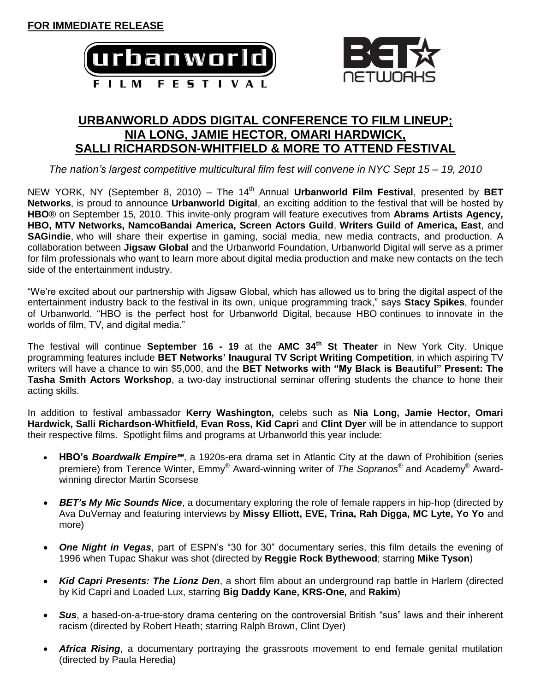



## **URBANWORLD ADDS DIGITAL CONFERENCE TO FILM LINEUP; NIA LONG, JAMIE HECTOR, OMARI HARDWICK, SALLI RICHARDSON-WHITFIELD & MORE TO ATTEND FESTIVAL**

*The nation's largest competitive multicultural film fest will convene in NYC Sept 15 – 19, 2010*

NEW YORK, NY (September 8, 2010) – The 14<sup>th</sup> Annual **Urbanworld Film Festival**, presented by **BET Networks**, is proud to announce **Urbanworld Digital**, an exciting addition to the festival that will be hosted by **HBO**® on September 15, 2010. This invite-only program will feature executives from **Abrams Artists Agency, HBO, MTV Networks, NamcoBandai America, Screen Actors Guild**, **Writers Guild of America, East**, and **SAGindie**, who will share their expertise in gaming, social media, new media contracts, and production. A collaboration between **Jigsaw Global** and the Urbanworld Foundation, Urbanworld Digital will serve as a primer for film professionals who want to learn more about digital media production and make new contacts on the tech side of the entertainment industry.

"We're excited about our partnership with Jigsaw Global, which has allowed us to bring the digital aspect of the entertainment industry back to the festival in its own, unique programming track," says **Stacy Spikes**, founder of Urbanworld. "HBO is the perfect host for Urbanworld Digital, because HBO continues to innovate in the worlds of film, TV, and digital media."

The festival will continue **September 16 - 19** at the **AMC 34th St Theater** in New York City. Unique programming features include **BET Networks' Inaugural TV Script Writing Competition**, in which aspiring TV writers will have a chance to win \$5,000, and the **BET Networks with "My Black is Beautiful" Present: The Tasha Smith Actors Workshop**, a two-day instructional seminar offering students the chance to hone their acting skills.

In addition to festival ambassador **Kerry Washington,** celebs such as **Nia Long, Jamie Hector, Omari Hardwick, Salli Richardson-Whitfield, Evan Ross, Kid Capri** and **Clint Dyer** will be in attendance to support their respective films. Spotlight films and programs at Urbanworld this year include:

- **HBO's** *Boardwalk Empire℠*, a 1920s-era drama set in Atlantic City at the dawn of Prohibition (series premiere) from Terence Winter, Emmy® Award-winning writer of *The Sopranos®* and Academy® Awardwinning director Martin Scorsese
- *BET's My Mic Sounds Nice*, a documentary exploring the role of female rappers in hip-hop (directed by Ava DuVernay and featuring interviews by **Missy Elliott, EVE, Trina, Rah Digga, MC Lyte, Yo Yo** and more)
- *One Night in Vegas*, part of ESPN's "30 for 30" documentary series, this film details the evening of 1996 when Tupac Shakur was shot (directed by **Reggie Rock Bythewood**; starring **Mike Tyson**)
- *Kid Capri Presents: The Lionz Den*, a short film about an underground rap battle in Harlem (directed by Kid Capri and Loaded Lux, starring **Big Daddy Kane, KRS-One,** and **Rakim**)
- Sus, a based-on-a-true-story drama centering on the controversial British "sus" laws and their inherent racism (directed by Robert Heath; starring Ralph Brown, Clint Dyer)
- *Africa Rising*, a documentary portraying the grassroots movement to end female genital mutilation (directed by Paula Heredia)